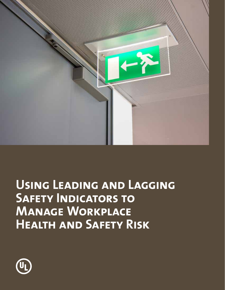

# **Using Leading and Lagging SAFETY INDICATORS TO Manage Workplace Health and Safety Risk**

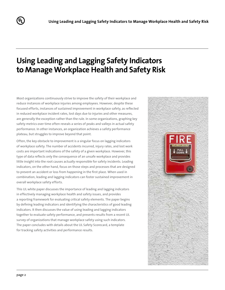# **Using Leading and Lagging Safety Indicators to Manage Workplace Health and Safety Risk**

Most organizations continuously strive to improve the safety of their workplace and reduce instances of workplace injuries among employees. However, despite these focused efforts, instances of sustained improvement in workplace safety, as reflected in reduced workplace incident rates, lost days due to injuries and other measures, are generally the exception rather than the rule. In some organizations, graphing key safety metrics over time often reveals a series of peaks and valleys in actual safety performance. In other instances, an organization achieves a safety performance plateau, but struggles to improve beyond that point.

Often, the key obstacle to improvement is a singular focus on lagging indicators of workplace safety. The number of accidents incurred, injury rates, and lost work costs are important indications of the safety of a given workplace. However, this type of data reflects only the consequence of an unsafe workplace and provides little insight into the root causes actually responsible for safety incidents. Leading indicators, on the other hand, focus on those steps and processes that are designed to prevent an accident or loss from happening in the first place. When used in combination, leading and lagging indicators can foster sustained improvement in overall workplace safety efforts.

This UL white paper discusses the importance of leading and lagging indicators in effectively managing workplace health and safety issues, and provides a reporting framework for evaluating critical safety elements. The paper begins by defining leading indicators and identifying the characteristics of good leading indicators. It then discusses the value of using leading and lagging indicators together to evaluate safety performance, and presents results from a recent UL survey of organizations that manage workplace safety using such indicators. The paper concludes with details about the UL Safety Scorecard, a template for tracking safety activities and performance results.



(U<sub>L</sub>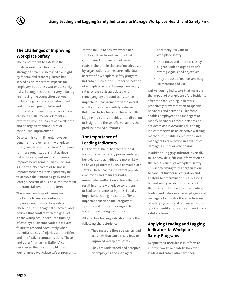## **The Challenges of Improving Workplace Safety**

The commitment to safety in the modern workplace has never been stronger. Certainly, increased oversight by federal and state regulators has served as an important impetus for employers to address workplace safety risks. But organizations in every industry are making the connection between maintaining a safe work environment and improved productivity and profitability. Indeed, a safer workplace can be an instrumental element in efforts to develop "habits of excellence," and an organizational culture of continuous improvement.

Despite this commitment, however, genuine improvements in workplace safety are difficult to achieve. And, even for those organizations that achieve initial success, sustaining continuous improvements remains an elusive goal. As many as 70 percent of business improvement programs reportedly fail to achieve their intended goal, and at least 50 percent of business improvement programs fail over the long term.

There are a number of causes for the failure to sustain continuous improvement in workplace safety. These include managerial directives and policies that conflict with the goals of a safe workplace, inadequate training of employees on safe work procedures, failure to respond adequately when potential causes of injuries are identified, and ineffective communications. These and other "human limitations" can derail even the most thoughtful and well-planned workplace safety programs. Yet the failure to achieve workplace safety goals or to sustain efforts at continuous improvement often has its roots in the simple choice of metrics used by organizations to measure individual aspects of a workplace safety program. Indicators such as the number or location of workplace accidents, employee injury rates, or the costs associated with remedying unsafe conditions can be important measurements of the overall results of workplace safety initiatives. But an exclusive focus on these so-called lagging indicators provides little direction or insight into the specific behaviors that produce desired outcomes.

# **The Importance of Leading Indicators**

On the other hand, benchmarks that focus on specific safety process-related behaviors and activities are more likely to have a positive influence on workplace safety. These leading indicators provide employees and managers with immediate feedback on actions that can result in unsafe workplace conditions or lead to incidents or injuries. Equally important, leading indicators offer an important check on the integrity of systems and processes designed to foster safe working conditions.

All effective leading indicators share the following characteristics:

- They measure those behaviors and activities that can directly lead to improved workplace safety.
- They are understood and accepted by employees and managers

as directly relevant to workplace safety.

- Their focus and intent is closely aligned with an organization's strategic goals and objectives.
- They are cost-effective, and easy to measure and use.

Unlike lagging indicators that measure the impact of workplace safety incidents after the fact, leading indicators proactively draw attention to specific behaviors and activities. This focus enables employees and managers to modify behaviors before incidents or accidents occur. Accordingly, leading indicators serve as an effective warning mechanism, enabling employees and managers to take action in advance of damage, injuries or other harms.

In addition, lagging indicators typically fail to provide sufficient information on the actual causes of workplace safety. This shortcoming forces organizations to conduct further investigation and analysis to determine the real reasons behind safety incidents. Because of their focus on behaviors and activities, leading indicators enable employees and managers to monitor the effectiveness of safety systems and processes, and to quickly identify root causes of workplace safety failures.

# **Applying Leading and Lagging Indicators to Workplace Safety Programs**

Despite their usefulness in efforts to improve workplace safety, however, leading indicators also have their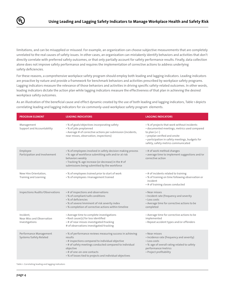

limitations, and can be misapplied or misused. For example, an organization can choose subjective measurements that are completely unrelated to the real causes of safety issues. In other cases, an organization can mistakenly identify behaviors and activities that don't directly correlate with preferred safety outcomes, or that only partially account for safety performance results. Finally, data collection alone does not improve safety performance and requires the implementation of corrective actions to address underlying safety deficiencies.

For these reasons, a comprehensive workplace safety program should employ both leading and lagging indicators. Leading indicators are proactive by nature and provide a framework for benchmark behaviors and activities prescribed by workplace safety programs. Lagging indicators measure the relevance of those behaviors and activities in driving specific safety-related outcomes. In other words, leading indicators dictate the action plan while lagging indicators measure the effectiveness of that plan in achieving the desired workplace safety outcomes.

As an illustration of the beneficial cause and effect dynamic created by the use of both leading and lagging indicators, Table 1 depicts correlating leading and lagging indicators for six commonly-used workplace safety program elements.

| <b>PROGRAM ELEMENT</b>                                   | <b>LEADING INDICATORS</b>                                                                                                                                                                                                                                                                  | <b>LAGGING INDICATORS</b>                                                                                                                                                                                                                 |
|----------------------------------------------------------|--------------------------------------------------------------------------------------------------------------------------------------------------------------------------------------------------------------------------------------------------------------------------------------------|-------------------------------------------------------------------------------------------------------------------------------------------------------------------------------------------------------------------------------------------|
| Management<br>Support and Accountability                 | • % of goals/objectives incorporating safety<br>• % of jobs preplanned<br>• Average # of corrective actions per submission (incidents,<br>near misses, observation, inspections)                                                                                                           | • % of projects that work without incidents<br>· documented meetings, metrics used compared<br>to plan $(+/-)$<br>• preplan verified and onsite<br>· participation in safety meetings, budgets for<br>safety, safety metrics communicated |
| Employee<br>Participation and Involvement                | • % of employees involved in safety decision making process<br>• %-age of workforce submitting safe and/or at risk<br>behaviors weekly<br>• Tracking %-age increase (or decrease) in the # of<br>submissions being submitted by the workforce                                              | • # of work method changes<br>• average time to implement suggestions and/or<br>corrective action                                                                                                                                         |
| New Hire Orientation,<br>Training and Learning           | . % of employees trained prior to start of work<br>• % of employees /management trained                                                                                                                                                                                                    | • # of incidents related to training<br>• % of training on time following observation or<br>incident<br>• # of training classes conducted                                                                                                 |
| Inspections/Audits/Observations                          | • # of inspections and observations<br>• % of compliant/safe conditions<br>• % of deficiencies<br>• % of severe/imminent of risk severity index<br>• % completion of corrective actions within timeline                                                                                    | • Near misses<br>• Incident rate (frequency and severity<br>• Loss costs<br>• Average time for corrective actions to be<br>completed                                                                                                      |
| Incident.<br>Near Miss and Observation<br>Investigations | • Average time to complete investigations<br>• Root cause(s) for loss identified<br>• # of near misses investigated/tracking<br># of observations investigated/tracking                                                                                                                    | • Average time for corrective actions to be<br>implemented<br>• Repeat accident types and/or offenders                                                                                                                                    |
| Performance Management<br>Systems/Safety Related         | • % of performance reviews measuring success in achieving<br>results<br>• # inspections compared to individual objective<br>• # of safety meetings conducted compared to individual<br>objective<br>• # of one-on-one contacts<br>• % of losses tied to projects and individual objectives | • Near misses<br>• Incidence rate (frequency and severity)<br>• Loss costs<br>• %-age of overall rating related to safety<br>performance/metrics<br>• Project profitability                                                               |

Table 1: Correlating leading and lagging indicators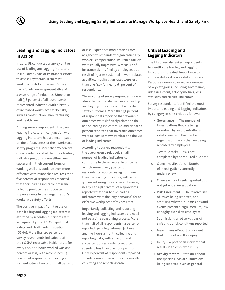### **Leading and Lagging Indicators in Action**

In 2012, UL conducted a survey on the use of leading and lagging indicators in industry as part of its broader effort to assess key factors in successful workplace safety programs. Survey participants were representative of a wide range of industries. More than half (58 percent) of all respondents represented industries with a history of increased workplace safety risks, such as construction, manufacturing and healthcare.

Among survey respondents, the use of leading indicators in conjunction with lagging indicators had a direct impact on the effectiveness of their workplace safety programs. More than 70 percent of respondents stated that their leading indicator programs were either very successful in their current form, or working well and could be even more effective with minor changes. Less than five percent of respondents reported that their leading indicator program failed to produce the anticipated improvements in their organization's workplace safety efforts.

The positive impact from the use of both leading and lagging indicators is affirmed by recordable incident rates as required by the U.S. Occupational Safety and Health Administration (OSHA). More than 40 percent of survey respondents indicated that their OSHA recordable incident rate for every 200,000 hours worked was one percent or less, with a combined 64 percent of respondents reporting an incident rate of two-and-a-half percent or less. Experience modification rates assigned to respondent organizations by workers' compensation insurance carriers were equally impressive. A measure of insurance claims filed by employees as a result of injuries sustained in work-related activities, modification rates were less than one (1.0) for nearly 65 percent of respondents.

The majority of survey respondents were also able to correlate their use of leading and lagging indicators with favorable safety outcomes. More than 32 percent of respondents reported that favorable outcomes were definitely related to the use of leading indicators. An additional 42 percent reported that favorable outcomes were at least somewhat related to the use of leading indicators.

According to survey respondents, the use of even a relatively small number of leading indicators can contribute to these favorable outcomes. A little more than 74 percent of respondents reported using not more than five leading indicators, with almost 42 percent using three or less. However, nearly half (48 percent) of respondents reported that four to five leading indicators were the "right amount" for an effective workplace safety program.

Importantly, collecting and reporting leading and lagging indicator data need not be a time consuming process. More than half of all respondents (51 percent) reported spending between just one and five hours a month collecting and reporting data, with an additional six percent of respondents reported spending less than one hour per month. Only 16 percent of respondents reported spending more than 11 hours per month collecting and reporting data.

#### **Critical Leading and Lagging Indicators**

The UL survey also asked respondents to identify the leading and lagging indicators of greatest importance to a successful workplace safety program. Responses were organized in a number of key categories, including governance, risk assessment, activity metrics, loss statistics and cultural indicators.

Survey respondents identified the most important leading and lagging indicators by category in rank order, as follows:

- **• Governance —** The number of investigations that are being examined by an organization's safety team and the number of urgent submissions that are being recorded by employees.
- 1. Overdue tasks **–** Tasks not completed by the required due date
- 2. Open investigations Number of investigations currently under review
- 3. Open events Events reported but not yet under investigation
	- **• Risk Assessment –** The relative risk of issues being reported, and assessing whether submissions and events present a high, medium, low or negligible risk to employees.
- 1. Submissions on observations of safe and at risk conditions reported
- 2. Near misses **–** Report of incident that does not result in injury
- 3. Injury **–** Report of an incident that results in an employee injury
	- **• Activity Metrics –** Statistics about the specific kinds of submissions being reported, such as general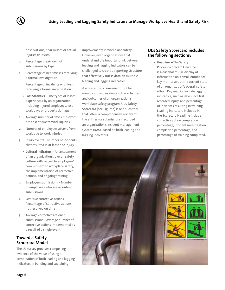

observations, near misses or actual injuries or losses.

- 1. Percentage breakdown of submissions by type
- 2. Percentage of near misses receiving a formal investigation
- 3. Percentage of incidents with loss receiving a formal investigation
	- **• Loss Statistics –** The types of losses experienced by an organization, including injured employees, lost work days or property damage.
- 1. Average number of days employees are absent due to work injuries
- 2. Number of employees absent from work due to work injuries
- 3. Injury events Number of incidents that resulted in at least one injury
	- **• Cultural Indicators –** An assessment of an organization's overall safety culture with regard to employees' commitment to workplace safety, the implementation of corrective actions, and ongoing training.
- 1. Employee submissions Number of employees who are recording submissions
- 2. Overdue corrective actions Percentage of corrective actions not resolved on time
- 3. Average corrective actions/ submissions – Average number of corrective actions implemented as a result of a single event

#### **Toward a Safety Scorecard Model**

The UL survey provides compelling evidence of the value of using a combination of both leading and lagging indicators in building and sustaining

improvements in workplace safety. However, even organizations that understand the important link between leading and lagging indicators can be challenged to create a reporting structure that effectively tracks data on multiple leading and lagging indicators.

A scorecard is a convenient tool for monitoring and evaluating the activities and outcomes of an organization's workplace safety program. UL's Safety Scorecard (see Figure 1) is one such tool that offers a comprehensive review of the entries (or submissions) recorded in an organization's incident management system (IMS), based on both leading and lagging indicators.

#### **UL's Safety Scorecard includes the following sections:**

**• Headline –** The Safety Process Scorecard Headline is a dashboard-like display of information on a small number of key metrics about the current state of an organization's overall safety effort. Key metrics include lagging indicators, such as days since last recorded injury, and percentage of incidents resulting in training. Leading indicators included in the Scorecard Headline include corrective action completion percentage, incident investigation completion percentage, and percentage of training completed.

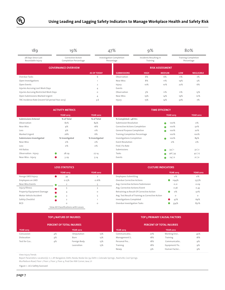| 189                                               | 19%                                               | 47%                |                                        | 9%          |                                    | 80% |                                          |
|---------------------------------------------------|---------------------------------------------------|--------------------|----------------------------------------|-------------|------------------------------------|-----|------------------------------------------|
| 28 Days Since Last<br>Recordable Injury           | Corrective Action<br><b>Completion Percentage</b> |                    | Investigation Completion<br>Percentage |             | Incidents Resulting in<br>Training |     | <b>Training Completion</b><br>Percentage |
| <b>GOVERNANCE OVERVIEW</b>                        |                                                   |                    | <b>RISK ASSESSMENT</b>                 |             |                                    |     |                                          |
|                                                   |                                                   | <b>AS OF TODAY</b> | <b>SUBMISSIONS</b>                     | <b>HIGH</b> | <b>MEDIUM</b>                      | LOW | <b>NEGLIGIBLE</b>                        |
| Overdue Tasks                                     |                                                   | 6                  | Observation                            | 6%          | 6%                                 | 11% | 7%                                       |
| Open Investigations                               |                                                   |                    | Near Miss                              | 8%          | 11%                                | 19% | 5%                                       |
| Open Events<br>$\overline{2}$                     |                                                   |                    | Injury                                 | 10%         | 10%                                | 22% | 6%                                       |
| Injuries Accruing Lost Work Days                  |                                                   | 4                  | Events                                 |             |                                    |     |                                          |
| Injuries Accruing Restricted Work Days            |                                                   | $\circ$            | Observation                            | 5%          | 11%                                | 11% | 13%                                      |
| Open Submissions Marked Urgent                    |                                                   | 4                  | Near Miss                              | 19%         | 14%                                | 19% | 10%                                      |
| TRC Incidence Rate (recent full period Year 2013) |                                                   | 3.6                | Injury                                 | 15%         | 14%                                | 32% | 7%                                       |

| <b>ACTIVITY METRICS</b>    |                    |                  | <b>TIME EFFICENCY</b>                 |                  |                  |  |
|----------------------------|--------------------|------------------|---------------------------------------|------------------|------------------|--|
|                            | <b>YEAR 2013</b>   | <b>YEAR 2012</b> |                                       | <b>YEAR 2013</b> | <b>YEAR 2012</b> |  |
| <b>Submissions Entered</b> | % of Total         | % of Total       | % Completed < 48 Hrs                  |                  |                  |  |
| Observation                | 82%                | 84%              | Submission Resolution                 | 100%             | $\circ$ %        |  |
| Near Miss                  | 9%                 | 16%              | <b>Corrective Actions Completion</b>  | 100%             | 50%              |  |
| Loss                       | 9%                 | $0\%$            | General Purpose Completion            | 100%             | 20%              |  |
| Marked Urgent              | 26%                | 6%               | <b>Training Completion Percentage</b> | 100%             | 100%             |  |
| Submissions Investigated   | % Investigated     | % Investigated   | Investigations Completion             | 100%             | 89%              |  |
| Near Miss                  | $0\%$              | $0\%$            | <b>Event Resolution</b>               | $\circ$ %        | $\circ$ %        |  |
| Loss                       | $0\%$              | $0\%$            | Find   Fix Rate                       |                  |                  |  |
| <b>Hit Ratios</b>          |                    |                  | Submissions                           | 34 1             | $32$   2         |  |
| Observation : Injury       | $\bullet$<br>28:29 | 27:14            | Tasks                                 | 96 34            | 42 17            |  |
| Near Miss: Injury          | 3:29               | 5:14             | Events                                | $24$ 0           | $21$ 0           |  |

| <b>LOSS STATISTICS</b>    |                                      |                  | <b>CULTURE IN</b>                                 |
|---------------------------|--------------------------------------|------------------|---------------------------------------------------|
|                           | <b>YEAR 2013</b>                     | <b>YEAR 2012</b> |                                                   |
| Averge LWD/Injury         | 39                                   | $\overline{2}$   | <b>Employees Submitting</b>                       |
| Employees on LWD          | 0.15%                                | 0.16%            | Overdue Corrective Actions                        |
| Near Miss Events          |                                      |                  | Avg. Corrective Actions/Submission                |
| Injury/Illness            |                                      |                  | Avg. Corrective Actions/Event                     |
| Property/Equipment Damage | 4                                    | $\circ$          | Retraining as Result Of Corrective Action         |
| Motor Vehicle Accident    |                                      |                  | Avg. Test Result of Training as Corrective Action |
| Safety Checklist          | $\overline{a}$                       |                  | <b>Investigations Completed</b>                   |
| <b>BCD</b>                | $\circ$                              | $\circ$          | Overdue Investigation Tasks                       |
|                           | View All Classifications with Losses |                  |                                                   |

| <b>STATISTICS</b> |                  | <b>CULTURE INDICATORS</b>                         |                  |                  |  |  |  |
|-------------------|------------------|---------------------------------------------------|------------------|------------------|--|--|--|
| <b>YEAR 2013</b>  | <b>YEAR 2012</b> |                                                   | <b>YEAR 2013</b> | <b>YEAR 2012</b> |  |  |  |
| 39                | $\overline{2}$   | <b>Employees Submitting</b>                       | $\circ$ %        | о%               |  |  |  |
| 0.15%             | 0.16%            | Overdue Corrective Actions                        | 1194%            | 1377%            |  |  |  |
| $\overline{2}$    |                  | Avg. Corrective Actions/Submission                | O.21             | 0.09             |  |  |  |
|                   |                  | Avg. Corrective Actions/Event                     | 0.36             | 0.43             |  |  |  |
| 4                 | $\circ$          | Retraining as Result Of Corrective Action         | O%               | 50%              |  |  |  |
|                   |                  | Avg. Test Result of Training as Corrective Action | $\circ$          | $\circ$          |  |  |  |
| $\overline{2}$    |                  | <b>Investigations Completed</b>                   | 47%              | 69%              |  |  |  |
| O                 | $\circ$          | Overdue Investigation Tasks                       | 334%             | 831%             |  |  |  |

View All Classifications with Losses

| <b>TOP 5 NATURE OF INJURIES</b><br><b>PERCENT OF TOTAL INJURIES</b> |    |              |     | <b>TOP 5 PRIMARY CAUSAL FACTORS</b><br><b>PERCENT OF TOTAL INJURIES</b> |     |              |     |
|---------------------------------------------------------------------|----|--------------|-----|-------------------------------------------------------------------------|-----|--------------|-----|
|                                                                     |    |              |     |                                                                         |     |              |     |
| Concussion                                                          | 4% | Amputation   | 13% | Communicatio                                                            | 27% | Working Envi | 45% |
| Dislocation                                                         | 4% | Burn         | 13% | Management S                                                            | 18% | Training     | 18% |
| Test for Cus                                                        | 4% | Foreign Body | 13% | Personal Pro                                                            | 18% | Communicatio | 9%  |
|                                                                     |    | Laceration   | 13% | Training                                                                | 18% | Equipment/To | 9%  |
|                                                                     |    |              |     | <b>Newg</b>                                                             | 9%  | Human Factor | 9%  |

View Injury Trends

Report Parameters: Location(s): 11, 1, AP. Bangalore, Delhi, Noida, Noida Sec 59, Delhi 1, Colorado Springs , Nashville, Cool Springs.

Murfeeburo Road, Floor 1, Floor 2, Floor 3, Floor 4, Prod Dev NW Corner, Java, UI

Figure 1 : UL's Safety Scorcard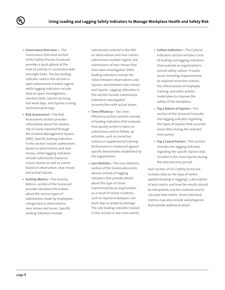- **• Governance Overview –** The Governance Overview section of the Safety Process Scorecard provides a quick glance at the level of activity in connection with oversight tasks. The key leading indicator used in this section is open submissions marked urgent, while lagging indicators include data on open investigations, overdue tasks, injuries accruing lost work days, and injuries ccruing restricted work days.
- **• Risk Assessment –** The Risk Assessment section provides information about the relative risk of issues reported through the Incident Management System (IMS). Specific leading indicators in this section include submissions based on observations and near misses, while lagging indicators include submissions based on actual injuries as well as events based on observation, near misses and actual injuries.
- **• Activity Metrics** The Activity Metrics section of the Scorecard provides detailed information about the various types of submissions made by employees, categorized as observations, near misses and losses. Specific leading indicators include

submissions entered in the IMS on observations and near misses, submissions marked urgent, and submissions of near misses that have been investigated. Other leading indicators include the ratios between observations and injuries, and between near misses and injuries. Lagging indicators in this section include submissions entered or investigated inconnection with actual losses.

- **• Time Efficiency –** The Time Efficiency section consists entirely of leading indicators that evaluate how quickly action is taken on submissions and on follow-up activities, such as corrective actions or supplemental training. Performance is measured against specific benchmarks established by the organization.
- **• Loss Statistics** The Loss Statistics section of the Scorecardconsists almost entirely of lagging ndicators that provide details about the type of losses experienced by an organization as a result of recent incidents, such as injured employees, lost work days or property damage. The sole leading indicator tracked in this section is near miss events.
- **• Culture Indicators** The Cultural Indicators section includes a mix of leading and lagging indicators that evaluate an organization's overall safety culture. It tracks issues including responsiveness to required corrective actions, the effectiveness of employee training, and other actions undertaken to improve the safety of the workplace.
- **• Top 5 Nature of Injuries –** This section of the Scorecard includes one lagging indicator regarding the types of injuries that occurred most often during the selected time period.
- **• Top 5 Causal Factors** This section includes one lagging indicator regarding the specific factors that resulted in the most injuries during the selected time period.

Each section of UL's Safety Scorecard includes data on the type of metric applied (leading or lagging), a description of each metric and how the results should be interpreted, and the method used to calculate that metric. Some individual metrics may also include subcategories that provide additional detail.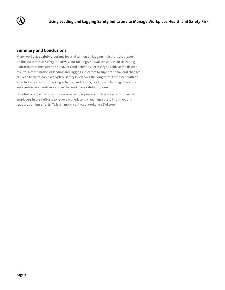

#### **Summary and Conclusions**

Many workplace safety programs focus attention on lagging indicators that report on the outcomes of safety initiatives, but fail to give equal consideration to leading indicators that measure the behaviors and activities necessary to achieve the desired results. A combination of leading and lagging indicators to support behavioral changes can lead to sustainable workplace safety levels over the long term. Combined with an effective scorecard for tracking activities and results, leading and lagging indicators are essential elements in a successful workplace safety program.

UL offers a range of consulting services and proprietary software systems to assist employers in their efforts to reduce workplace risk, manage safety initiatives and support training efforts. To learn more, contact ulworkplace@ul.com